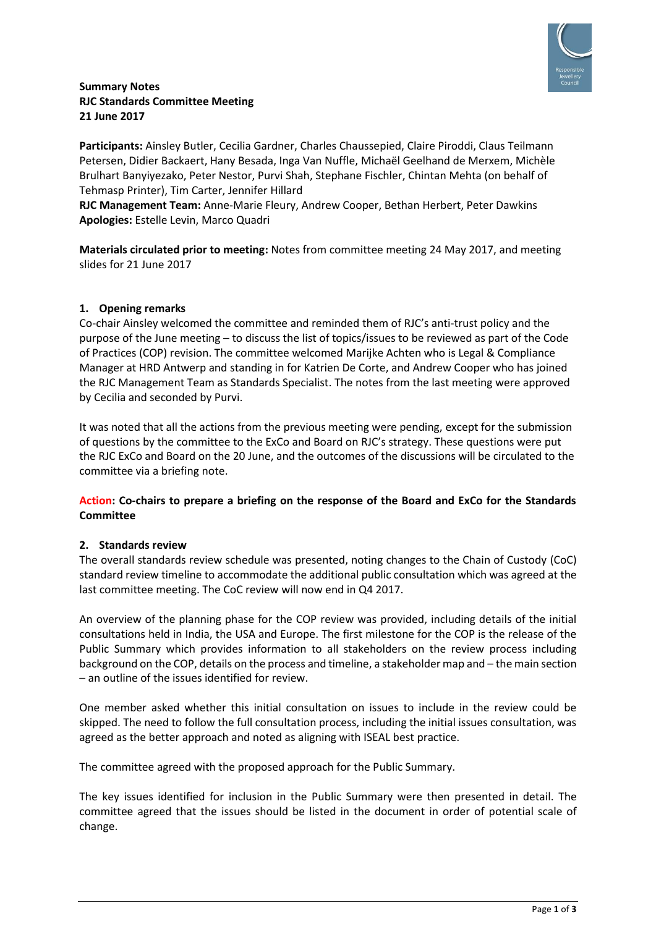

## **Summary Notes RJC Standards Committee Meeting 21 June 2017**

**Participants:** Ainsley Butler, Cecilia Gardner, Charles Chaussepied, Claire Piroddi, Claus Teilmann Petersen, Didier Backaert, Hany Besada, Inga Van Nuffle, Michaël Geelhand de Merxem, Michèle Brulhart Banyiyezako, Peter Nestor, Purvi Shah, Stephane Fischler, Chintan Mehta (on behalf of Tehmasp Printer), Tim Carter, Jennifer Hillard

**RJC Management Team:** Anne-Marie Fleury, Andrew Cooper, Bethan Herbert, Peter Dawkins **Apologies:** Estelle Levin, Marco Quadri

**Materials circulated prior to meeting:** Notes from committee meeting 24 May 2017, and meeting slides for 21 June 2017

## **1. Opening remarks**

Co-chair Ainsley welcomed the committee and reminded them of RJC's anti-trust policy and the purpose of the June meeting – to discuss the list of topics/issues to be reviewed as part of the Code of Practices (COP) revision. The committee welcomed Marijke Achten who is Legal & Compliance Manager at HRD Antwerp and standing in for Katrien De Corte, and Andrew Cooper who has joined the RJC Management Team as Standards Specialist. The notes from the last meeting were approved by Cecilia and seconded by Purvi.

It was noted that all the actions from the previous meeting were pending, except for the submission of questions by the committee to the ExCo and Board on RJC's strategy. These questions were put the RJC ExCo and Board on the 20 June, and the outcomes of the discussions will be circulated to the committee via a briefing note.

## **Action: Co-chairs to prepare a briefing on the response of the Board and ExCo for the Standards Committee**

### **2. Standards review**

The overall standards review schedule was presented, noting changes to the Chain of Custody (CoC) standard review timeline to accommodate the additional public consultation which was agreed at the last committee meeting. The CoC review will now end in Q4 2017.

An overview of the planning phase for the COP review was provided, including details of the initial consultations held in India, the USA and Europe. The first milestone for the COP is the release of the Public Summary which provides information to all stakeholders on the review process including background on the COP, details on the process and timeline, a stakeholder map and – the main section – an outline of the issues identified for review.

One member asked whether this initial consultation on issues to include in the review could be skipped. The need to follow the full consultation process, including the initial issues consultation, was agreed as the better approach and noted as aligning with ISEAL best practice.

The committee agreed with the proposed approach for the Public Summary.

The key issues identified for inclusion in the Public Summary were then presented in detail. The committee agreed that the issues should be listed in the document in order of potential scale of change.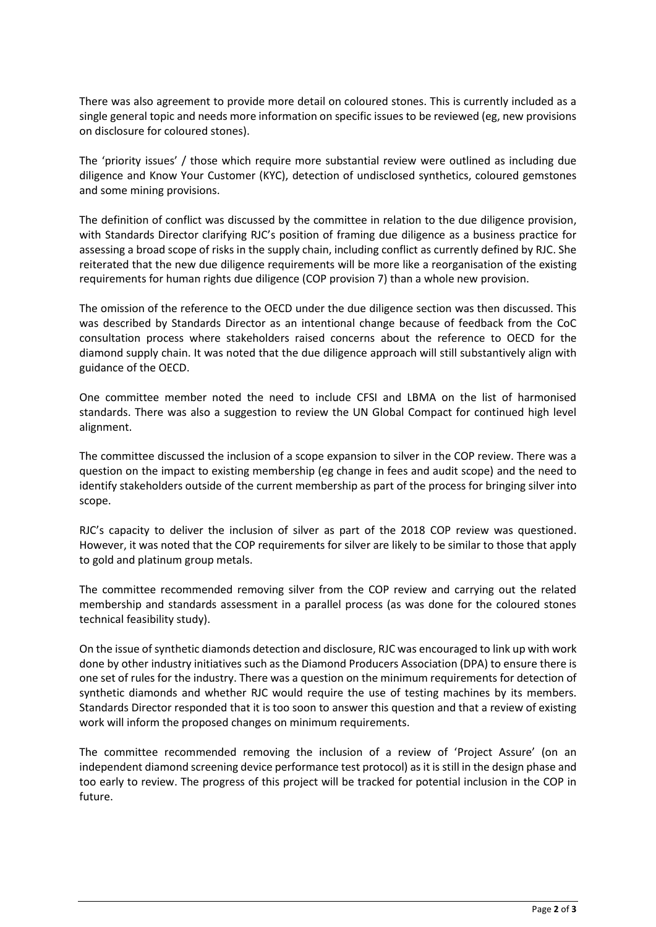There was also agreement to provide more detail on coloured stones. This is currently included as a single general topic and needs more information on specific issues to be reviewed (eg, new provisions on disclosure for coloured stones).

The 'priority issues' / those which require more substantial review were outlined as including due diligence and Know Your Customer (KYC), detection of undisclosed synthetics, coloured gemstones and some mining provisions.

The definition of conflict was discussed by the committee in relation to the due diligence provision, with Standards Director clarifying RJC's position of framing due diligence as a business practice for assessing a broad scope of risks in the supply chain, including conflict as currently defined by RJC. She reiterated that the new due diligence requirements will be more like a reorganisation of the existing requirements for human rights due diligence (COP provision 7) than a whole new provision.

The omission of the reference to the OECD under the due diligence section was then discussed. This was described by Standards Director as an intentional change because of feedback from the CoC consultation process where stakeholders raised concerns about the reference to OECD for the diamond supply chain. It was noted that the due diligence approach will still substantively align with guidance of the OECD.

One committee member noted the need to include CFSI and LBMA on the list of harmonised standards. There was also a suggestion to review the UN Global Compact for continued high level alignment.

The committee discussed the inclusion of a scope expansion to silver in the COP review. There was a question on the impact to existing membership (eg change in fees and audit scope) and the need to identify stakeholders outside of the current membership as part of the process for bringing silver into scope.

RJC's capacity to deliver the inclusion of silver as part of the 2018 COP review was questioned. However, it was noted that the COP requirements for silver are likely to be similar to those that apply to gold and platinum group metals.

The committee recommended removing silver from the COP review and carrying out the related membership and standards assessment in a parallel process (as was done for the coloured stones technical feasibility study).

On the issue of synthetic diamonds detection and disclosure, RJC was encouraged to link up with work done by other industry initiatives such as the Diamond Producers Association (DPA) to ensure there is one set of rules for the industry. There was a question on the minimum requirements for detection of synthetic diamonds and whether RJC would require the use of testing machines by its members. Standards Director responded that it is too soon to answer this question and that a review of existing work will inform the proposed changes on minimum requirements.

The committee recommended removing the inclusion of a review of 'Project Assure' (on an independent diamond screening device performance test protocol) as it is still in the design phase and too early to review. The progress of this project will be tracked for potential inclusion in the COP in future.